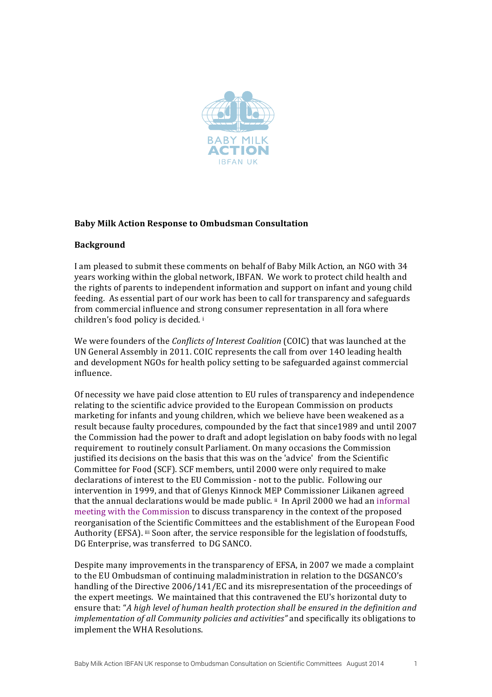

# **Baby Milk Action Response to Ombudsman Consultation**

## **Background**

I am pleased to submit these comments on behalf of Baby Milk Action, an NGO with 34 years working within the global network, IBFAN. We work to protect child health and the rights of parents to independent information and support on infant and young child feeding. As essential part of our work has been to call for transparency and safeguards from commercial influence and strong consumer representation in all fora where children's food policy is decided.<sup>i</sup>

We were founders of the *Conflicts of Interest Coalition* (COIC) that was launched at the UN General Assembly in 2011. COIC represents the call from over 140 leading health and development NGOs for health policy setting to be safeguarded against commercial influence. 

Of necessity we have paid close attention to EU rules of transparency and independence relating to the scientific advice provided to the European Commission on products marketing for infants and young children, which we believe have been weakened as a result because faulty procedures, compounded by the fact that since1989 and until 2007 the Commission had the power to draft and adopt legislation on baby foods with no legal requirement to routinely consult Parliament. On many occasions the Commission justified its decisions on the basis that this was on the 'advice' from the Scientific Committee for Food (SCF). SCF members, until 2000 were only required to make declarations of interest to the EU Commission - not to the public. Following our intervention in 1999, and that of Glenys Kinnock MEP Commissioner Liikanen agreed that the annual declarations would be made public.  $\mathbb{I}$  In April 2000 we had an informal meeting with the Commission to discuss transparency in the context of the proposed reorganisation of the Scientific Committees and the establishment of the European Food Authority (EFSA). iii Soon after, the service responsible for the legislation of foodstuffs, DG Enterprise, was transferred to DG SANCO.

Despite many improvements in the transparency of EFSA, in 2007 we made a complaint to the EU Ombudsman of continuing maladministration in relation to the DGSANCO's handling of the Directive 2006/141/EC and its misrepresentation of the proceedings of the expert meetings. We maintained that this contravened the EU's horizontal duty to ensure that: "A high level of human health protection shall be ensured in the definition and *implementation of all Community policies and activities"* and specifically its obligations to implement the WHA Resolutions.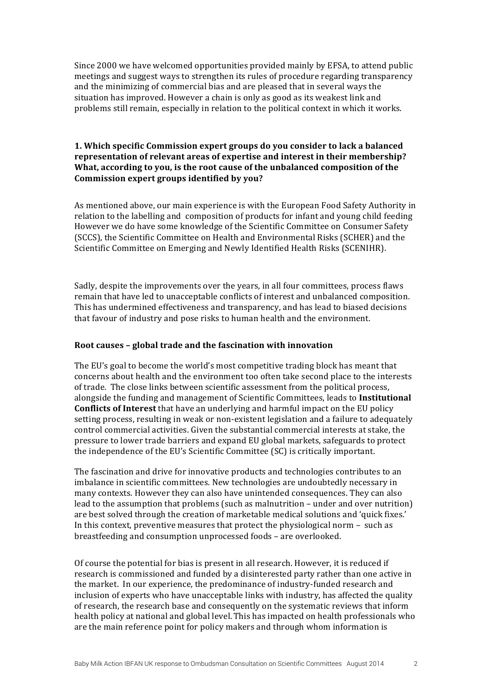Since 2000 we have welcomed opportunities provided mainly by EFSA, to attend public meetings and suggest ways to strengthen its rules of procedure regarding transparency and the minimizing of commercial bias and are pleased that in several ways the situation has improved. However a chain is only as good as its weakest link and problems still remain, especially in relation to the political context in which it works.

# **1.** Which specific Commission expert groups do you consider to lack a balanced representation of relevant areas of expertise and interest in their membership? What, according to you, is the root cause of the unbalanced composition of the Commission expert groups identified by you?

As mentioned above, our main experience is with the European Food Safety Authority in relation to the labelling and composition of products for infant and young child feeding However we do have some knowledge of the Scientific Committee on Consumer Safety (SCCS), the Scientific Committee on Health and Environmental Risks (SCHER) and the Scientific Committee on Emerging and Newly Identified Health Risks (SCENIHR).

Sadly, despite the improvements over the years, in all four committees, process flaws remain that have led to unacceptable conflicts of interest and unbalanced composition. This has undermined effectiveness and transparency, and has lead to biased decisions that favour of industry and pose risks to human health and the environment.

#### Root causes - global trade and the fascination with innovation

The EU's goal to become the world's most competitive trading block has meant that concerns about health and the environment too often take second place to the interests of trade. The close links between scientific assessment from the political process, alongside the funding and management of Scientific Committees, leads to Institutional **Conflicts of Interest** that have an underlying and harmful impact on the EU policy setting process, resulting in weak or non-existent legislation and a failure to adequately control commercial activities. Given the substantial commercial interests at stake, the pressure to lower trade barriers and expand EU global markets, safeguards to protect the independence of the EU's Scientific Committee (SC) is critically important.

The fascination and drive for innovative products and technologies contributes to an imbalance in scientific committees. New technologies are undoubtedly necessary in many contexts. However they can also have unintended consequences. They can also lead to the assumption that problems  $\alpha$  such as malnutrition – under and over nutrition) are best solved through the creation of marketable medical solutions and 'quick fixes.' In this context, preventive measures that protect the physiological norm  $-$  such as breastfeeding and consumption unprocessed foods - are overlooked.

Of course the potential for bias is present in all research. However, it is reduced if research is commissioned and funded by a disinterested party rather than one active in the market. In our experience, the predominance of industry-funded research and inclusion of experts who have unacceptable links with industry, has affected the quality of research, the research base and consequently on the systematic reviews that inform health policy at national and global level. This has impacted on health professionals who are the main reference point for policy makers and through whom information is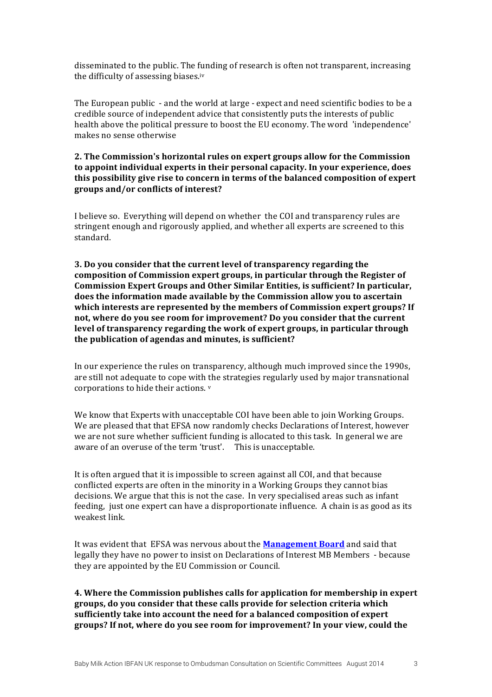disseminated to the public. The funding of research is often not transparent, increasing the difficulty of assessing biases.iv

The European public - and the world at large - expect and need scientific bodies to be a credible source of independent advice that consistently puts the interests of public health above the political pressure to boost the EU economy. The word 'independence' makes no sense otherwise

## **2.** The Commission's horizontal rules on expert groups allow for the Commission to appoint individual experts in their personal capacity. In your experience, does this possibility give rise to concern in terms of the balanced composition of expert **groups and/or conflicts of interest?**

I believe so. Everything will depend on whether the COI and transparency rules are stringent enough and rigorously applied, and whether all experts are screened to this standard. 

**3.** Do you consider that the current level of transparency regarding the composition of Commission expert groups, in particular through the Register of **Commission Expert Groups and Other Similar Entities, is sufficient? In particular,** does the information made available by the Commission allow you to ascertain which interests are represented by the members of Commission expert groups? If not, where do you see room for improvement? Do you consider that the current **level of transparency regarding the work of expert groups, in particular through** the publication of agendas and minutes, is sufficient?

In our experience the rules on transparency, although much improved since the 1990s, are still not adequate to cope with the strategies regularly used by major transnational corporations to hide their actions.  $v$ 

We know that Experts with unacceptable COI have been able to join Working Groups. We are pleased that that EFSA now randomly checks Declarations of Interest, however we are not sure whether sufficient funding is allocated to this task. In general we are aware of an overuse of the term 'trust'. This is unacceptable.

It is often argued that it is impossible to screen against all COI, and that because conflicted experts are often in the minority in a Working Groups they cannot bias decisions. We argue that this is not the case. In very specialised areas such as infant feeding, just one expert can have a disproportionate influence. A chain is as good as its weakest link.

It was evident that EFSA was nervous about the **Management Board** and said that legally they have no power to insist on Declarations of Interest MB Members - because they are appointed by the EU Commission or Council.

**4.** Where the Commission publishes calls for application for membership in expert groups, do you consider that these calls provide for selection criteria which sufficiently take into account the need for a balanced composition of expert groups? If not, where do you see room for improvement? In your view, could the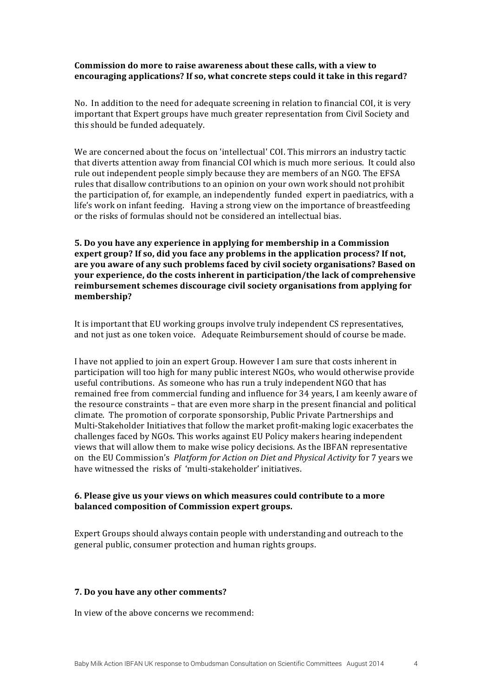## **Commission do more to raise awareness about these calls, with a view to** encouraging applications? If so, what concrete steps could it take in this regard?

No. In addition to the need for adequate screening in relation to financial COI, it is very important that Expert groups have much greater representation from Civil Society and this should be funded adequately.

We are concerned about the focus on 'intellectual' COI. This mirrors an industry tactic that diverts attention away from financial COI which is much more serious. It could also rule out independent people simply because they are members of an NGO. The EFSA rules that disallow contributions to an opinion on your own work should not prohibit the participation of, for example, an independently funded expert in paediatrics, with a life's work on infant feeding. Having a strong view on the importance of breastfeeding or the risks of formulas should not be considered an intellectual bias.

**5.** Do you have any experience in applying for membership in a Commission expert group? If so, did you face any problems in the application process? If not, are you aware of any such problems faced by civil society organisations? Based on **your experience, do the costs inherent in participation/the lack of comprehensive** reimbursement schemes discourage civil society organisations from applying for **membership?**

It is important that EU working groups involve truly independent CS representatives, and not just as one token voice. Adequate Reimbursement should of course be made.

I have not applied to join an expert Group. However I am sure that costs inherent in participation will too high for many public interest NGOs, who would otherwise provide useful contributions. As someone who has run a truly independent NGO that has remained free from commercial funding and influence for 34 years, I am keenly aware of the resource constraints  $-$  that are even more sharp in the present financial and political climate. The promotion of corporate sponsorship, Public Private Partnerships and Multi-Stakeholder Initiatives that follow the market profit-making logic exacerbates the challenges faced by NGOs. This works against EU Policy makers hearing independent views that will allow them to make wise policy decisions. As the IBFAN representative on the EU Commission's *Platform for Action on Diet and Physical Activity* for 7 years we have witnessed the risks of 'multi-stakeholder' initiatives.

## **6.** Please give us your views on which measures could contribute to a more **balanced composition of Commission expert groups.**

Expert Groups should always contain people with understanding and outreach to the general public, consumer protection and human rights groups.

## **7. Do you have any other comments?**

In view of the above concerns we recommend: